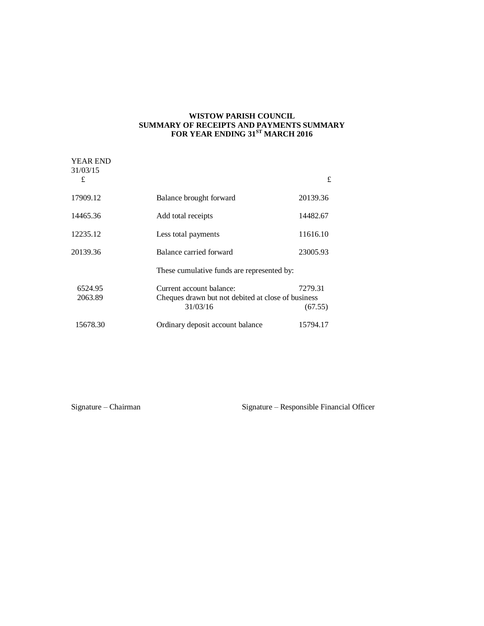## **WISTOW PARISH COUNCIL SUMMARY OF RECEIPTS AND PAYMENTS SUMMARY FOR YEAR ENDING 31ST MARCH 2016**

| <b>YEAR END</b><br>31/03/15 |                                                                                            |                    |  |
|-----------------------------|--------------------------------------------------------------------------------------------|--------------------|--|
| £                           |                                                                                            | £                  |  |
| 17909.12                    | Balance brought forward                                                                    | 20139.36           |  |
| 14465.36                    | Add total receipts                                                                         | 14482.67           |  |
| 12235.12                    | Less total payments                                                                        | 11616.10           |  |
| 20139.36                    | Balance carried forward                                                                    | 23005.93           |  |
|                             | These cumulative funds are represented by:                                                 |                    |  |
| 6524.95<br>2063.89          | Current account balance:<br>Cheques drawn but not debited at close of business<br>31/03/16 | 7279.31<br>(67.55) |  |
| 15678.30                    | Ordinary deposit account balance                                                           | 15794.17           |  |

Signature – Chairman Signature – Responsible Financial Officer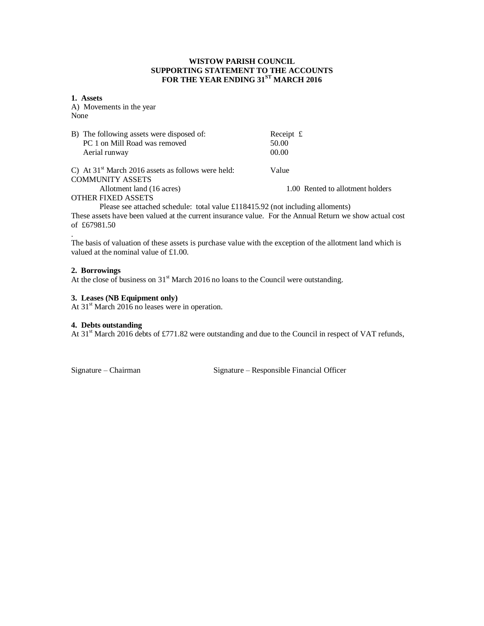# **WISTOW PARISH COUNCIL SUPPORTING STATEMENT TO THE ACCOUNTS FOR THE YEAR ENDING 31ST MARCH 2016**

**1. Assets**

A) Movements in the year None

| B) The following assets were disposed of:            | Receipt $\pounds$                |  |
|------------------------------------------------------|----------------------------------|--|
| PC 1 on Mill Road was removed                        | 50.00                            |  |
| Aerial runway                                        | 00.00                            |  |
| C) At $31st$ March 2016 assets as follows were held: | Value                            |  |
| <b>COMMUNITY ASSETS</b>                              |                                  |  |
| Allotment land (16 acres)                            | 1.00 Rented to allotment holders |  |
| <b>OTHER FIXED ASSETS</b>                            |                                  |  |

Please see attached schedule: total value £118415.92 (not including alloments) These assets have been valued at the current insurance value. For the Annual Return we show actual cost of £67981.50

.

The basis of valuation of these assets is purchase value with the exception of the allotment land which is valued at the nominal value of £1.00.

# **2. Borrowings**

At the close of business on  $31<sup>st</sup>$  March 2016 no loans to the Council were outstanding.

# **3. Leases (NB Equipment only)**

At  $31<sup>st</sup>$  March 2016 no leases were in operation.

#### **4. Debts outstanding**

At 31<sup>st</sup> March 2016 debts of £771.82 were outstanding and due to the Council in respect of VAT refunds,

Signature – Chairman Signature – Responsible Financial Officer